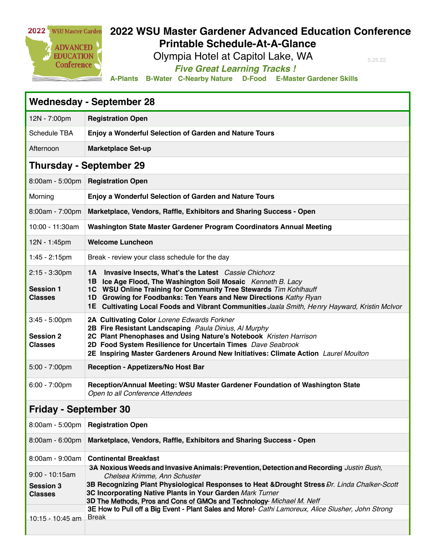

## **2022 WSU Master Gardener Advanced Education Conference Printable Schedule-At-A-Glance**

Olympia Hotel at Capitol Lake, WA

5.25.22

*Five Great Learning Tracks !* 

**A-Plants B-Water C-Nearby Nature D-Food E-Master Gardener Skills**

| <b>Wednesday - September 28</b>                        |                                                                                                                                                                                                                                                                                                                                                                  |  |
|--------------------------------------------------------|------------------------------------------------------------------------------------------------------------------------------------------------------------------------------------------------------------------------------------------------------------------------------------------------------------------------------------------------------------------|--|
| 12N - 7:00pm                                           | <b>Registration Open</b>                                                                                                                                                                                                                                                                                                                                         |  |
| Schedule TBA                                           | Enjoy a Wonderful Selection of Garden and Nature Tours                                                                                                                                                                                                                                                                                                           |  |
| Afternoon                                              | <b>Marketplace Set-up</b>                                                                                                                                                                                                                                                                                                                                        |  |
| <b>Thursday - September 29</b>                         |                                                                                                                                                                                                                                                                                                                                                                  |  |
|                                                        | 8:00am - 5:00pm   Registration Open                                                                                                                                                                                                                                                                                                                              |  |
| Morning                                                | <b>Enjoy a Wonderful Selection of Garden and Nature Tours</b>                                                                                                                                                                                                                                                                                                    |  |
| 8:00am - 7:00pm                                        | Marketplace, Vendors, Raffle, Exhibitors and Sharing Success - Open                                                                                                                                                                                                                                                                                              |  |
| 10:00 - 11:30am                                        | Washington State Master Gardener Program Coordinators Annual Meeting                                                                                                                                                                                                                                                                                             |  |
| 12N - 1:45pm                                           | <b>Welcome Luncheon</b>                                                                                                                                                                                                                                                                                                                                          |  |
| $1:45 - 2:15$ pm                                       | Break - review your class schedule for the day                                                                                                                                                                                                                                                                                                                   |  |
| $2:15 - 3:30$ pm<br><b>Session 1</b><br><b>Classes</b> | 1A Invasive Insects, What's the Latest Cassie Chichorz<br>1B Ice Age Flood, The Washington Soil Mosaic Kenneth B. Lacy<br>1C WSU Online Training for Community Tree Stewards Tim Kohlhauff<br>1D Growing for Foodbanks: Ten Years and New Directions Kathy Ryan<br>1E Cultivating Local Foods and Vibrant Communities Jaala Smith, Henry Hayward, Kristin McIvor |  |
| $3:45 - 5:00$ pm<br><b>Session 2</b><br><b>Classes</b> | 2A Cultivating Color Lorene Edwards Forkner<br>2B Fire Resistant Landscaping Paula Dinius, Al Murphy<br>2C Plant Phenophases and Using Nature's Notebook Kristen Harrison<br>2D Food System Resilience for Uncertain Times Dave Seabrook<br>2E Inspiring Master Gardeners Around New Initiatives: Climate Action Laurel Moulton                                  |  |
| $5:00 - 7:00$ pm                                       | Reception - Appetizers/No Host Bar                                                                                                                                                                                                                                                                                                                               |  |
| $6:00 - 7:00$ pm                                       | Reception/Annual Meeting: WSU Master Gardener Foundation of Washington State<br>Open to all Conference Attendees                                                                                                                                                                                                                                                 |  |
| <b>Friday - September 30</b>                           |                                                                                                                                                                                                                                                                                                                                                                  |  |
|                                                        | 8:00am - 5:00pm   Registration Open                                                                                                                                                                                                                                                                                                                              |  |
| 8:00am - 6:00pm                                        | Marketplace, Vendors, Raffle, Exhibitors and Sharing Success - Open                                                                                                                                                                                                                                                                                              |  |
| 8:00am - 9:00am                                        | <b>Continental Breakfast</b>                                                                                                                                                                                                                                                                                                                                     |  |
| $9:00 - 10:15am$<br><b>Session 3</b><br><b>Classes</b> | 3A Noxious Weeds and Invasive Animals: Prevention, Detection and Recording Justin Bush,<br>Chelsea Krimme, Ann Schuster<br>3B Recognizing Plant Physiological Responses to Heat &Drought Stress Dr. Linda Chalker-Scott<br>3C Incorporating Native Plants in Your Garden Mark Turner<br>3D The Methods, Pros and Cons of GMOs and Technology- Michael M. Neff    |  |
| 10:15 - 10:45 am                                       | 3E How to Pull off a Big Event - Plant Sales and More!- Cathi Lamoreux, Alice Slusher, John Strong<br><b>Break</b>                                                                                                                                                                                                                                               |  |
|                                                        |                                                                                                                                                                                                                                                                                                                                                                  |  |